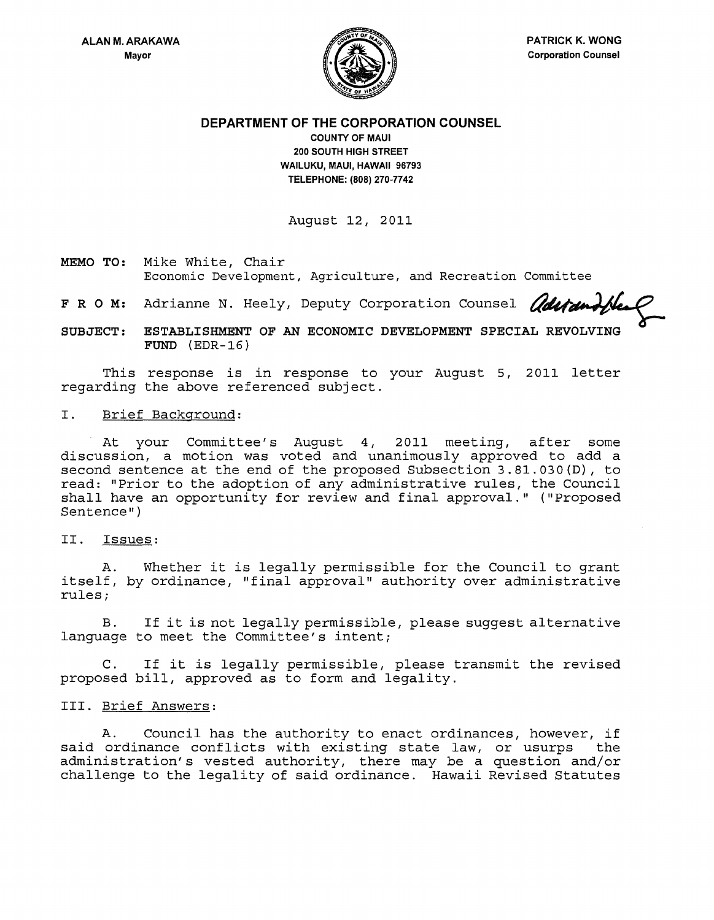

**DEPARTMENT OF THE CORPORATION COUNSEL** 

**COUNTY OF MAUl 200 SOUTH HIGH STREET WAILUKU, MAUl, HAWAII 96793 TELEPHONE: (808) 270·7742** 

August 12, 2011

**MEMO TO:** Mike White, Chair Economic Development, Agriculture, and Recreation Committee Mike White, Chair<br>Economic Development, Agriculture, and Recreation Committee<br>Adrianne N. Heely, Deputy Corporation Counsel *adurunthe* 

F R O M: Adrianne N. Heely, Deputy Corporation Counsel

**SUBJECT: ESTABLISHMENT OF AN ECONOMIC DEVELOPMENT SPECIAL REVOLVING FUND** (EDR-16)

This response is in response to your August 5, 2011 letter regarding the above referenced subject.

I. Brief Background:

At your Committee's August 4, 2011 meeting, after some discussion, a motion was voted and unanimously approved to add a second sentence at the end of the proposed Subsection 3.81.030(D), to read: "Prior to the adoption of any administrative rules, the Council shall have an opportunity for review and final approval." ("Proposed Sentence" )

II. Issues:

A. Whether it is legally permissible for the Council to grant itself, by ordinance, "final approval" authority over administrative *rulesi* 

B. If it is not legally permissible, please suggest alternative language to meet the Committee's intent;

C. If it is legally permissible, please transmit the revised proposed bill, approved as to form and legality.

# III. Brief Answers:

A. Council has the authority to enact ordinances, however, if said ordinance conflicts with existing state law, or usurps the administration's vested authority, there may be a question and/or challenge to the legality of said ordinance. Hawaii Revised Statutes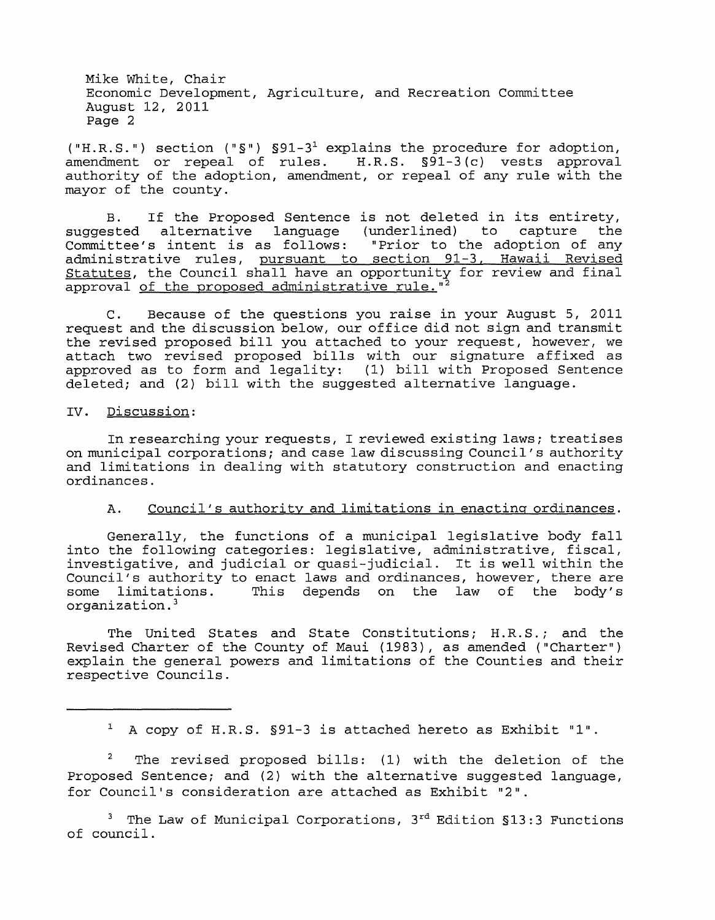("H.R.S.") section (" $\S$ ")  $\S 91-3^1$  explains the procedure for adoption, amendment or repeal of rules. H.R.S. §91-3 (c) vests approval authority of the adoption, amendment, or repeal of any rule with the mayor of the county.

B. If the Proposed Sentence is not deleted in its entirety, suggested alternative language (underlined) to capture Committee's intent is as follows: "Prior to the adoption of any administrative rules, pursuant to section 91-3, Hawaii Revised Statutes, the Council shall have an opportunity for review and final approval of the proposed administrative rule."<sup>2</sup>

C. Because of the questions you raise in your August 5, 2011 request and the discussion below, our office did not sign and transmit the revised proposed bill you attached to your request, however, we attach two revised proposed bills with our signature affixed as approved as to form and legality: (1) bill with Proposed Sentence deleted; and (2) bill with the suggested alternative language.

## IV. Discussion:

In researching your requests, I reviewed existing laws; treatises on municipal corporations; and case law discussing Council's authority and limitations in dealing with statutory construction and enacting ordinances.

## A. Council's authority and limitations in enacting ordinances.

Generally, the functions of a municipal legislative body fall into the following categories: legislative, administrative, fiscal, investigative, and judicial or quasi-judicial. It is well within the Council's authority to enact laws and ordinances, however, there are some limitations. This depends on the law of the body's organization. 3

The United States and State Constitutions; H.R.S.; and the Revised Charter of the County of Maui (1983), as amended ("Charter") explain the general powers and limitations of the Counties and their respective Councils.

<sup>1</sup>A copy of H.R.S. §91-3 is attached hereto as Exhibit "1".

The revised proposed bills: (1) with the deletion of the Proposed Sentence; and (2) with the alternative suggested language, for Council's consideration are attached as Exhibit "2".

<sup>3</sup> The Law of Municipal Corporations,  $3^{rd}$  Edition  $$13:3$  Functions of council.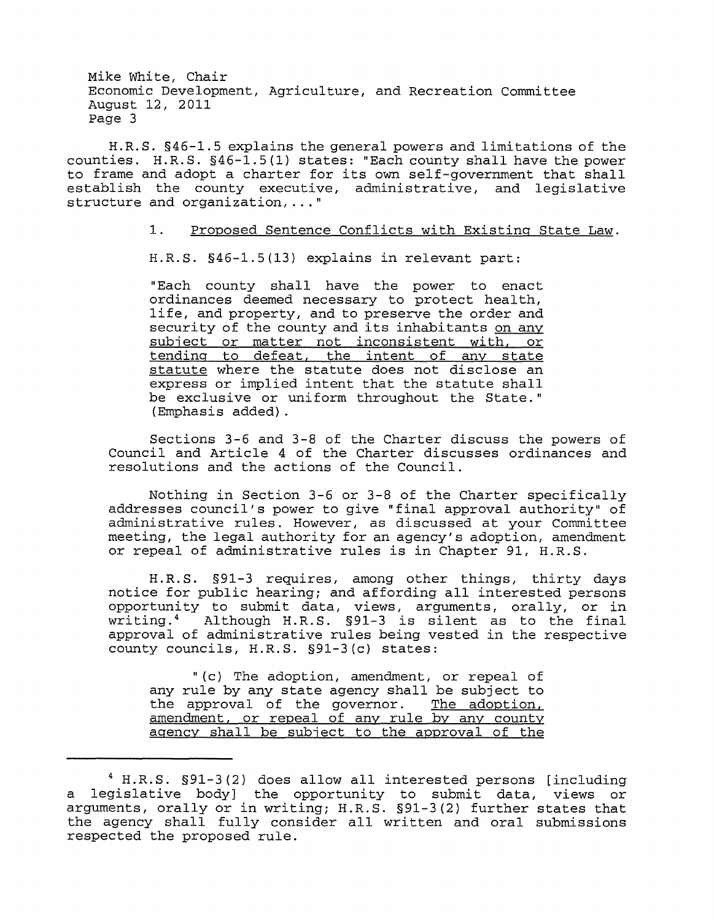H.R.S. §46-1.5 explains the general powers and limitations of the counties. H.R.S. §46-1.5(1) states: "Each county shall have the power to frame and adopt a charter for its own self-government that shall establish the county executive, administrative, and legislative structure and organization, ... "

## 1. Proposed Sentence Conflicts with Existing State Law.

H.R.S. §46-1.5(13) explains in relevant part:

"Each county shall have the power to enact ordinances deemed necessary to protect health, life, and property, and to preserve the order and security of the county and its inhabitants on any subject or matter not inconsistent with, or tending to defeat, the intent of any state statute where the statute does not disclose an express or implied intent that the statute shall be exclusive or uniform throughout the State." (Emphasis added).

Sections 3-6 and 3-8 of the Charter discuss the powers of Council and Article 4 of the Charter discusses ordinances and resolutions and the actions of the Council.

Nothing in Section 3-6 or 3-8 of the Charter specifically addresses council's power to give "final approval authority" of administrative rules. However, as discussed at your Committee meeting, the legal authority for an agency's adoption, amendment or repeal of administrative rules is in Chapter 91, H.R.S.

H. R. S . § 91-3 requires, among other things, thirty days notice for public hearing; and affording all interested persons opportunity to submit data, views, arguments, orally, or in<br>writing.<sup>4</sup> Although H.R.S. §91-3 is silent as to the final Although H.R.S. §91-3 is silent as to the final approval of administrative rules being vested in the respective county councils, H.R.S. §91-3(c) states:

"(c) The adoption, amendment, or repeal of any rule by any state agency shall be subject to the approval of the governor. The adoption, the approval of the governor. amendment, or repeal of any rule by any county agency shall be subject to the approval of the

<sup>4</sup> H.R.S. §91-3(2) does allow all interested persons [including a legislative body] the opportunity to submit data, views or ar ingles are started to started the contract of the states of any series of the states that the agency shall fully consider all written and oral submissions respected the proposed rule.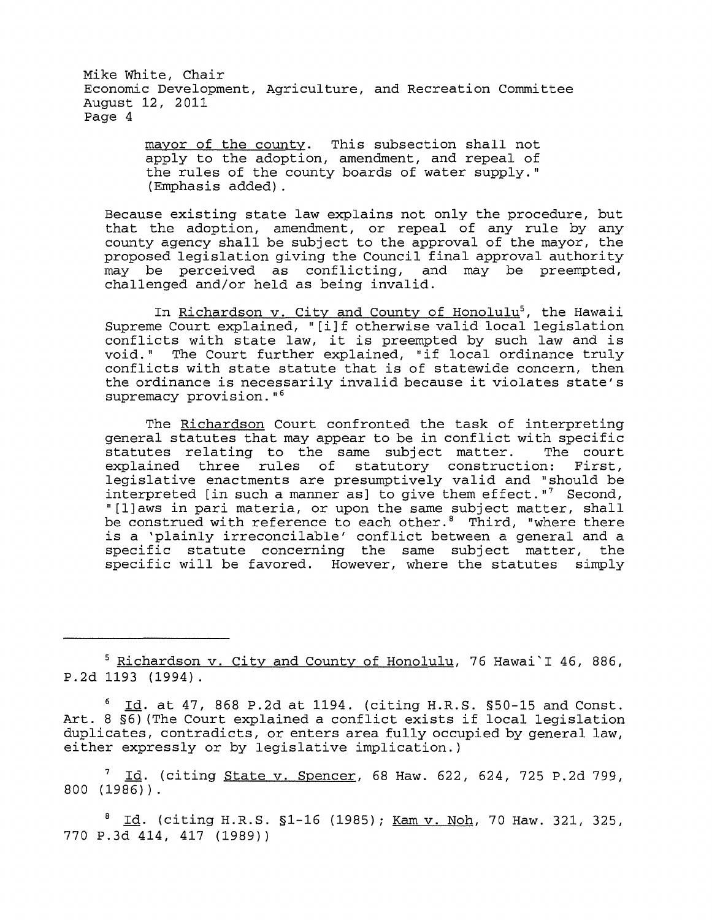> mayor of the county. This subsection shall not apply to the adoption, amendment, and repeal of the rules of the county boards of water supply." (Emphasis added).

Because existing state law explains not only the procedure, but that the adoption, amendment, or repeal of any rule by any county agency shall be subject to the approval of the mayor, the proposed legislation giving the Council final approval authority may be perceived as conflicting, and may be preempted, challenged and/or held as being invalid.

In <u>Richardson v. City and County of Honolulu</u><sup>5</sup>, the Hawaii Supreme Court explained, "[i] f otherwise valid local legislation conflicts with state law, it is preempted by such law and is void." The Court further explained, "if local ordinance truly conflicts with state statute that is of statewide concern, then the ordinance is necessarily invalid because it violates state's supremacy provision."<sup>6</sup>

The Richardson Court confronted the task of interpreting general statutes that may appear to be in conflict with specific<br>statutes relating to the same subject matter. The court statutes relating to the same subject matter. explained three rules of statutory construction: First, legislative enactments are presumptively valid and "should be interpreted [in such a manner as] to give them effect."<sup>7</sup> Second, " [l]aws in pari materia, or upon the same subject matter, shall be construed with reference to each other.<sup>8</sup> Third, "where there is a 'plainly irreconcilable' conflict between a general and a specific statute concerning the same subject matter, the specific will be favored. However, where the statutes simply

5 Richardson v. City and County of Honolulu, 76 Hawai'I 46, 886, P.2d 1193 (1994).

 $6$   $\underline{Id}$ . at 47, 868 P.2d at 1194. (citing H.R.S. §50-15 and Const. Art. 8 §6) (The Court explained a conflict exists if local legislation duplicates, contradicts, or enters area fully occupied by general law, either expressly or by legislative implication.)

Id. (citing State v. Spencer, 68 Haw. 622, 624, 725 P.2d 799, 800 (1986)).

 $^8$  Id. (citing H.R.S. §1-16 (1985); Kam v. Noh, 70 Haw. 321, 325, 770 P.3d 414, 417 (1989))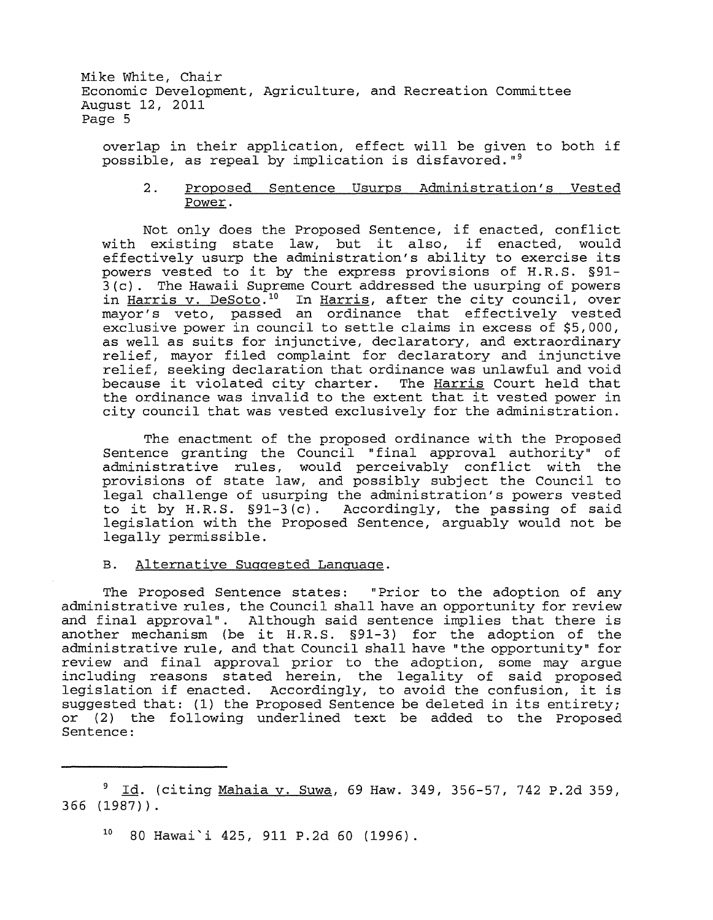overlap in their application, effect will be given to both if possible, as repeal by implication is disfavored.  $"$ 

## 2. Proposed Sentence Usurps Administration's Vested Power.

Not only does the Proposed Sentence, if enacted, conflict with existing state law, but it also, if enacted, would effectively usurp the administration's ability to exercise its powers vested to it by the express provisions of H.R.S. §91- 3 (c). The Hawaii Supreme Court addressed the usurping of powers in Harris v. DeSoto.<sup>10</sup> In Harris, after the city council, over mayor's veto, passed an ordinance that effectively vested exclusive power in council to settle claims in excess of \$5,000, as well as suits for injunctive, declaratory, and extraordinary relief, mayor filed complaint for declaratory and injunctive relief, seeking declaration that ordinance was unlawful and void because it violated city charter. The Harris Court held that the ordinance was invalid to the extent that it vested power in city council that was vested exclusively for the administration.

The enactment of the proposed ordinance with the Proposed Sentence granting the Council "final approval authority" of administrative rules, would perceivably conflict with the provisions of state law, and possibly subject the Council to legal challenge of usurping the administration's powers vested to it by H.R.S. §91-3 (c). Accordingly, the passing of said legislation with the Proposed Sentence, arguably would not be legally permissible.

#### B. Alternative Suggested Language.

The Proposed Sentence states: "Prior to the adoption of any administrative rules, the Council shall have an opportunity for review and final approval". Although said sentence implies that there is another mechanism (be it H.R.S. §91-3) for the adoption of the administrative rule, and that Council shall have "the opportunity" for review and final approval prior to the adoption, some may argue including reasons stated herein, the legality of said proposed legislation if enacted. Accordingly, to avoid the confusion, it is suggested that: (1) the Proposed Sentence be deleted in its entirety; or (2) the following underlined text be added to the Proposed Sentence:

 $10$  80 Hawai'i 425, 911 P.2d 60 (1996).

<sup>&</sup>lt;sup>9</sup> Id. (citing Mahaia v. Suwa, 69 Haw. 349, 356-57, 742 P.2d 359, 366 (1987)).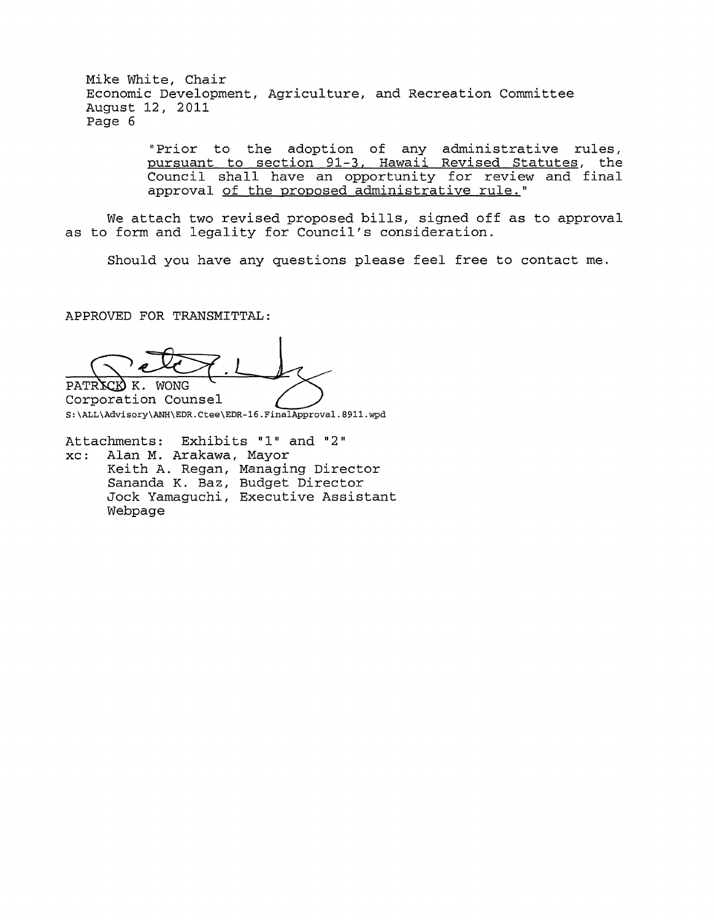> "Prior to the adoption of any administrative rules, pursuant to section 91-3, Hawaii Revised Statutes, the Council shall have an opportunity for review and final approval of the proposed administrative rule."

We attach two revised proposed bills, signed off as to approval as to form and legality for Council's consideration.

Should you have any questions please feel free to contact me.

APPROVED FOR TRANSMITTAL:

PATRICK K. WONG

Corporation Counsel S:\ALL\Advisory\ANH\EDR.Ctee\EDR-16.FinalApproval.8911.wpd

Attachments: Exhibits "1" and "2"<br>xc: Alan M. Arakawa, Mayor Alan M. Arakawa, Mayor Keith A. Regan, Managing Director Sananda K. Baz, Budget Director Jock Yamaguchi, Executive Assistant Webpage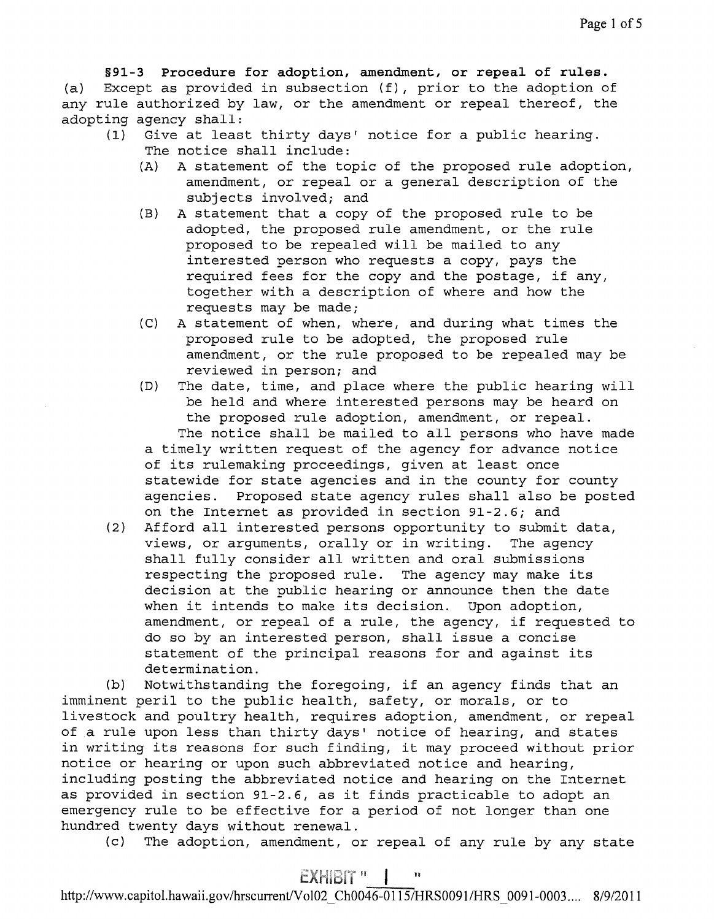§91-3 **Procedure for adoption, amendment, or repeal of rules.**  (a) Except as provided in subsection (f), prior to the adoption of any rule authorized by law, or the amendment or repeal thereof, the adopting agency shall:<br>(1) Give at leas

- Give at least thirty days' notice for a public hearing. The notice shall include:
	- (A) A statement of the topic of the proposed rule adoption, amendment, or repeal or a general description of the subjects involved; and
	- (B) A statement that a copy of the proposed rule to be adopted, the proposed rule amendment, or the rule proposed to be repealed will be mailed to any interested person who requests a copy, pays the required fees for the copy and the postage, if any, together with a description of where and how the requests may be made;
	- *(C)* A statement of when, where, and during what times the proposed rule to be adopted, the proposed rule amendment, or the rule proposed to be repealed may be reviewed in person; and
	- (D) The date, time, and place where the public hearing will be held and where interested persons may be heard on the proposed rule adoption, amendment, or repeal. The notice shall be mailed to all persons who have made a timely written request of the agency for advance notice of its rulemaking proceedings, given at least once statewide for state agencies and in the county for county agencies. Proposed state agency rules shall also be posted on the Internet as provided in section 91-2.6; and
- (2) Afford all interested persons opportunity to submit data, views, or arguments, orally or in writing. The agency shall fully consider all written and oral submissions respecting the proposed rule. The agency may make its decision at the public hearing or announce then the date<br>when it intends to make its decision. Upon adoption, when it intends to make its decision. amendment, or repeal of a rule, the agency, if requested to do so by an interested person, shall issue a concise statement of the principal reasons for and against its determination.

(b) Notwithstanding the foregoing, if an agency finds that an imminent peril to the public health, safety, or morals, or to livestock and poultry health, requires adoption, amendment, or repeal of a rule upon less than thirty days' notice of hearing, and states in writing its reasons for such finding, it may proceed without prior notice or hearing or upon such abbreviated notice and hearing, including posting the abbreviated notice and hearing on the Internet as provided in section 91-2.6, as it finds practicable to adopt an emergency rule to be effective for a period of not longer than one hundred twenty days without renewal.

(c) The adoption, amendment, or repeal of any rule by any state

# EXHIBIT "

http://www.capitol.hawaii.gov/hrscurrent/Vol02 Ch0046-0115/HRS0091/HRS 0091-0003.... 8/9/2011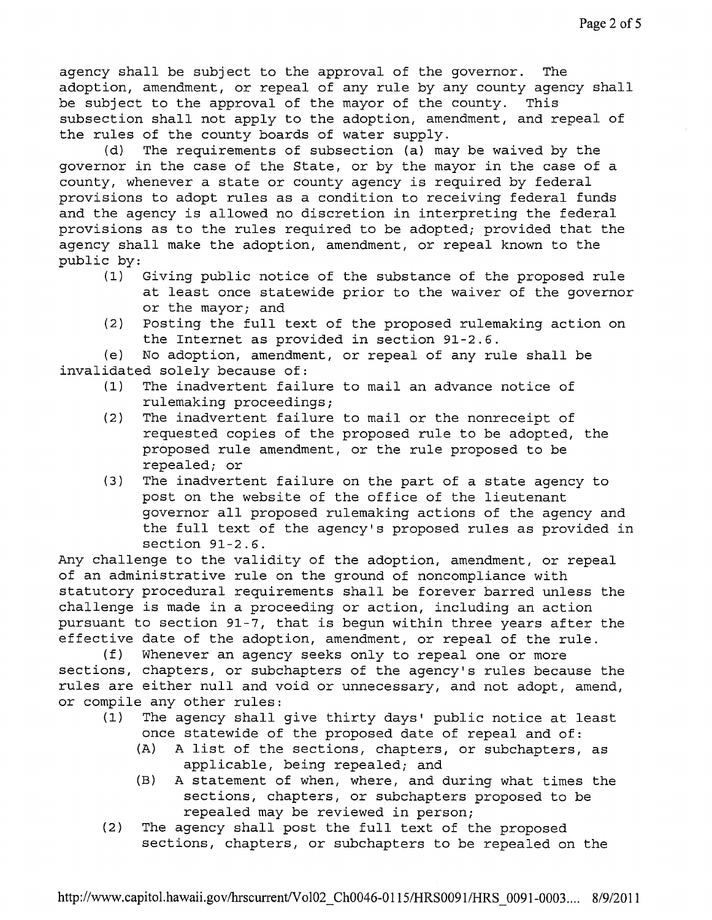(d) The requirements of subsection (a) may be waived by the governor in the case of the State, or by the mayor in the case of a county, whenever a state or county agency is required by federal provisions to adopt rules as a condition to receiving federal funds and the agency is allowed no discretion in interpreting the federal provisions as to the rules required to be adopted; provided that the agency shall make the adoption, amendment, or repeal known to the public by:<br> $(1)$ 

- Giving public notice of the substance of the proposed rule at least once statewide prior to the waiver of the governor or the mayor; and
- (2) Posting the full text of the proposed rulemaking action on the Internet as provided in section 91-2.6.

(e) No adoption, amendment, or repeal of any rule shall be invalidated solely because of:

- The inadvertent failure to mail an advance notice of rulemaking proceedings;
- (2) The inadvertent failure to mail or the nonreceipt of requested copies of the proposed rule to be adopted, the proposed rule amendment, or the rule proposed to be repealed; or
- (3) The inadvertent failure on the part of a state agency to post on the website of the office of the lieutenant governor all proposed rulemaking actions of the agency and the full text of the agency's proposed rules as provided in section 91-2.6.

Any challenge to the validity of the adoption, amendment, or repeal of an administrative rule on the ground of noncompliance with statutory procedural requirements shall be forever barred unless the challenge is made in a proceeding or action, including an action pursuant to section 91-7, that is begun within three years after the effective date of the adoption, amendment, or repeal of the rule.

(f) Whenever an agency seeks only to repeal one or more sections, chapters, or subchapters of the agency's rules because the rules are either null and void or unnecessary, and not adopt, amend, or compile any other rules:

- (1) The agency shall give thirty days' public notice at least once statewide of the proposed date of repeal and of:
	- (A) A list of the sections, chapters, or subchapters, as applicable, being repealed; and
	- (B) A statement of when, where, and during what times the sections, chapters, or subchapters proposed to be repealed may be reviewed in person;
- (2) The agency shall post the full text of the proposed sections, chapters, or subchapters to be repealed on the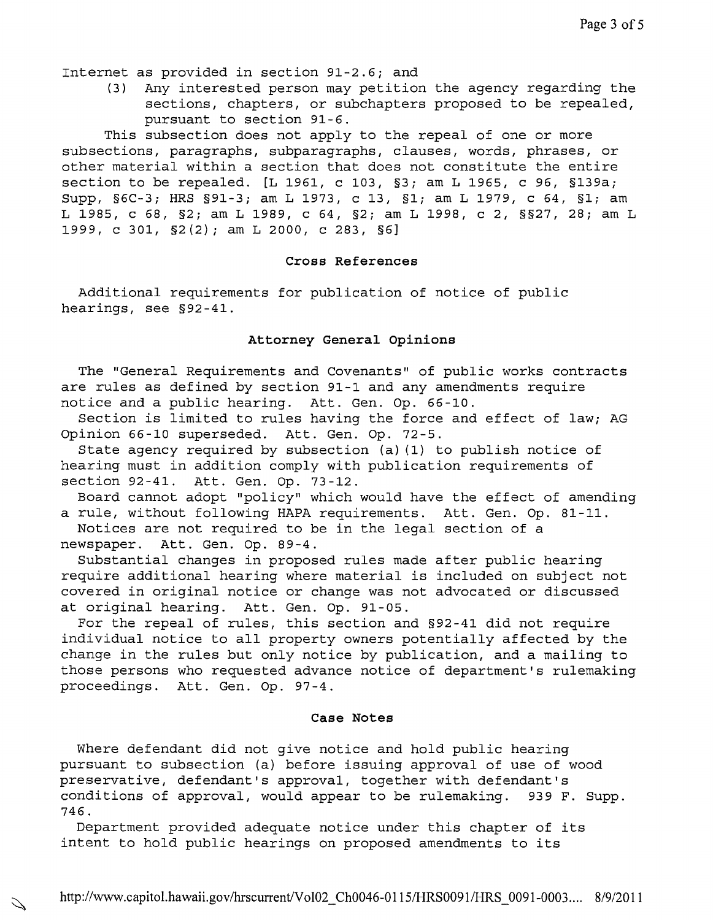Internet as provided in section 91-2.6; and

(3) Any interested person may petition the agency regarding the sections, chapters, or subchapters proposed to be repealed, pursuant to section 91-6.

This subsection does not apply to the repeal of one or more subsections, paragraphs, subparagraphs, clauses, words, phrases, or other material within a section that does not constitute the entire section to be repealed. [L 1961, c 103, §3; am L 1965, c 96, §139a; Supp, §6C-3; HRS §91-3; am L 1973, c 13, §1; am L 1979, c 64, §1; am L 1985, c 68, §2; am L 1989, c 64, §2; am L 1998, c 2, §§27, 28; am L 1999, c 301, §2(2); am L 2000, c 283, §6]

#### **Cross References**

Additional requirements for publication of notice of public hearings, see §92-41.

## **Attorney General Opinions**

The "General Requirements and Covenants" of public works contracts are rules as defined by section 91-1 and any amendments require notice and a public hearing. Att. Gen. Op. 66-10.

Section is limited to rules having the force and effect of law; AG Opinion 66-10 superseded. Att. Gen. Op. 72-5.

State agency required by subsection (a) (1) to publish notice of hearing must in addition comply with publication requirements of section 92-41. Att. Gen. Op. 73-12.

Board cannot adopt "policy" which would have the effect of amending a rule, without following HAPA requirements. Att. Gen. Op. 81-11. Notices are not required to be in the legal section of a newspaper. Att. Gen. Op. 89-4.

Substantial changes in proposed rules made after public hearing require additional hearing where material is included on subject not covered in original notice or change was not advocated or discussed at original hearing. Att. Gen. Op. 91-05.

For the repeal of rules, this section and §92-41 did not require individual notice to all property owners potentially affected by the change in the rules but only notice by publication, and a mailing to those persons who requested advance notice of department's rulemaking proceedings. Att. Gen. Op. 97-4.

## **Case Notes**

Where defendant did not give notice and hold public hearing pursuant to subsection (a) before issuing approval of use of wood preservative, defendant's approval, together with defendant's conditions of approval, would appear to be rulemaking. 939 F. Supp. 746.

Department provided adequate notice under this chapter of its intent to hold public hearings on proposed amendments to its

Ź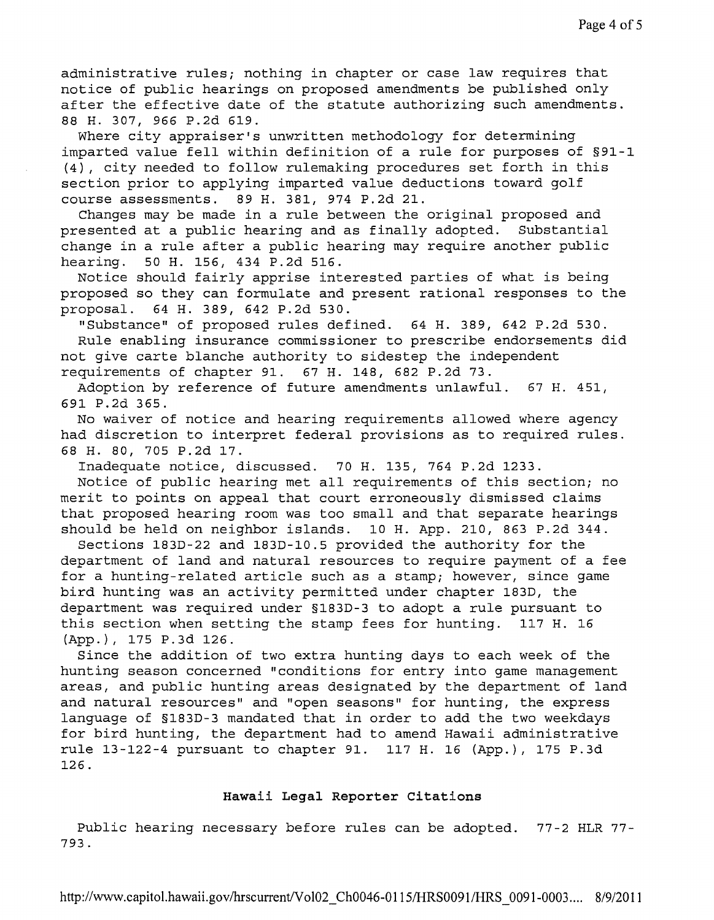administrative rules; nothing in chapter or case law requires that notice of public hearings on proposed amendments be published only after the effective date of the statute authorizing such amendments. 88 H. 307, 966 P.2d 619.

Where city appraiser's unwritten methodology for determining imparted value fell within definition of a rule for purposes of §91-1 (4), city needed to follow rulemaking procedures set forth in this section prior to applying imparted value deductions toward golf course assessments. 89 H. 381, 974 P.2d 21.

Changes may be made in a rule between the original proposed and presented at a public hearing and as finally adopted. Substantial change in a rule after a public hearing may require another public hearing. 50 H. 156, 434 P.2d 516.

Notice should fairly apprise interested parties of what is being proposed so they can formulate and present rational responses to the proposal. 64 H. 389, 642 P.2d 530.

"Substance" of proposed rules defined. 64 H. 389, 642 P.2d 530. Rule enabling insurance commissioner to prescribe endorsements did not give carte blanche authority to sidestep the independent requirements of chapter 91. 67 H. 148, 682 P.2d 73.

Adoption by reference of future amendments unlawful. 67 H. 451, 691 P.2d 365.

No waiver of notice and hearing requirements allowed where agency had discretion to interpret federal provisions as to required rules. 68 H. 80, 705 P.2d 17.

Inadequate notice, discussed. 70 H. 135, 764 P.2d 1233.

Notice of public hearing met all requirements of this section; no merit to points on appeal that court erroneously dismissed claims that proposed hearing room was too small and that separate hearings should be held on neighbor islands. 10 H. App. 210, 863 P.2d 344.

Sections 183D-22 and 183D-I0.5 provided the authority for the department of land and natural resources to require payment of a fee for a hunting-related article such as a stamp; however, since game bird hunting was an activity permitted under chapter 183D, the department was required under §183D-3 to adopt a rule pursuant to this section when setting the stamp fees for hunting. 117 H. 16 (App.), 175 P.3d 126.

Since the addition of two extra hunting days to each week of the hunting season concerned "conditions for entry into game management areas, and public hunting areas designated by the department of land and natural resources" and "open seasons" for hunting, the express language of §183D-3 mandated that in order to add the two weekdays for bird hunting, the department had to amend Hawaii administrative rule 13-122-4 pursuant to chapter 91. 117 H. 16 (App.), 175 P.3d 126.

#### **Hawaii Legal Reporter Citations**

Public hearing necessary before rules can be adopted. 77-2 HLR 77- 793.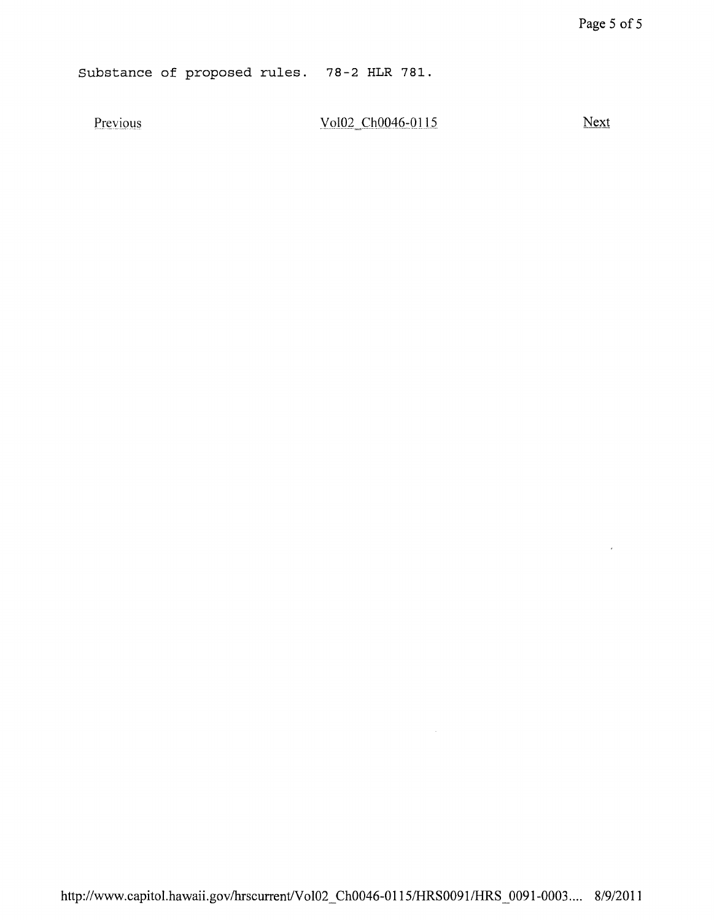Substance of proposed rules. 78-2 HLR 781.

Previous

Vol02 Ch0046-0115

Next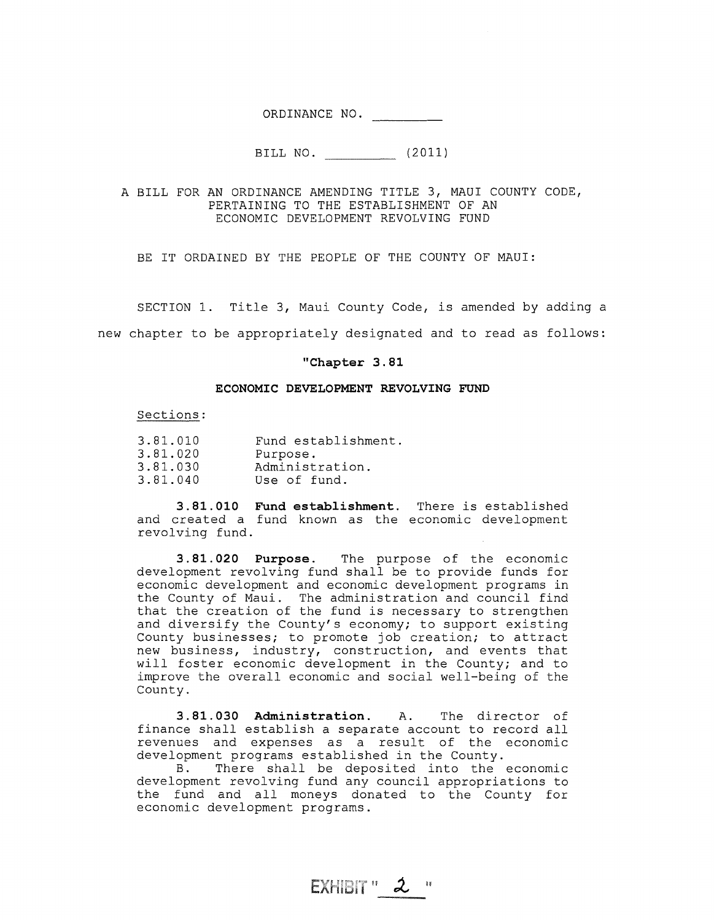ORDINANCE NO.

BILL NO. (2011)

A BILL FOR AN ORDINANCE AMENDING TITLE 3, MAUl COUNTY CODE, PERTAINING TO THE ESTABLISHMENT OF AN ECONOMIC DEVELOPMENT REVOLVING FUND

BE IT ORDAINED BY THE PEOPLE OF THE COUNTY OF MAUl:

SECTION 1. Title 3, Maui County Code, is amended by adding a new chapter to be appropriately designated and to read as follows:

#### **"Chapter 3.81**

#### **ECONOMIC DEVELOPMENT REVOLVING FUND**

Sections:

| 3.81.010 | Fund establishment. |
|----------|---------------------|
| 3.81.020 | Purpose.            |
| 3.81.030 | Administration.     |
| 3.81.040 | Use of fund.        |

**3.81.010 Fund establishment.** There is established and created a fund known as the economic development revolving fund.

**3.81. 020 Purpose.** The purpose of the economic development revolving fund shall be to provide funds for economic development and economic development programs in the County of Maui. The administration and council find that the creation of the fund is necessary to strengthen and diversify the County's economy; to support existing County businesses; to promote job creation; to attract new business, industry, construction, and events that will foster economic development in the County; and to improve the overall economic and social well-being of the County.

**3.81.030 Administration.** A. The director of finance shall establish a separate account to record all revenues and expenses as a result of the economic development programs established in the County.

B. There shall be deposited into the economic development revolving fund any council appropriations to the fund and all moneys donated to the County for economic development programs.

 $EXHIBIT''$   $2$  "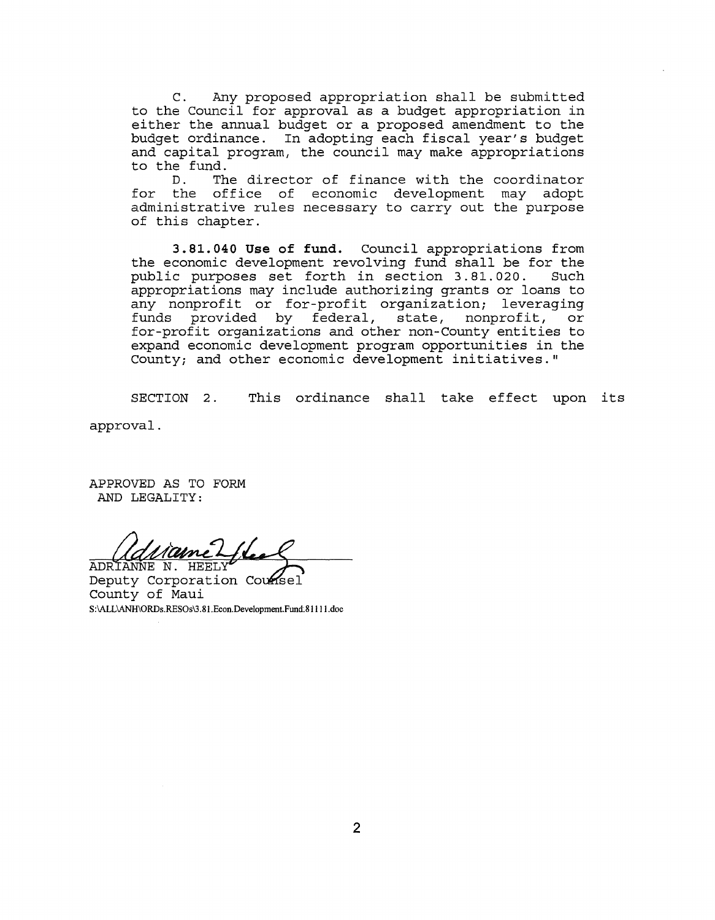C. Any proposed appropriation shall be submitted to the Council for approval as a budget appropriation in either the annual budget or a proposed amendment to the budget ordinance. In adopting each fiscal year's budget and capital program, the council may make appropriations to the fund.

D. The director of finance with the coordinator D. The director of finance with the coordi<br>for the office of economic development may administrative rules necessary to carry out the purpose of this chapter. adopt

**3.81.040 Use of fund.** Council appropriations from the economic development revolving fund shall be for the public purposes set forth in section 3.81.020. appropriations may include authorizing grants or loans to any nonprofit or for-profit organization; leveraging funds provided by federal, state, nonprofit, or for-profit organizations and other non-County entities to expand economic development program opportunities in the County; and other economic development initiatives."

SECTION 2. This ordinance shall take effect upon its

approval.

APPROVED AS TO FORM AND LEGALITY:

<u> 1 ame</u> ADRIANNE N. HEEL

Deputy Corporation Counsel County of Maui S:\ALL\ANH\ORDs.RESOs\3.81.Econ.Development.Fund.81111.doc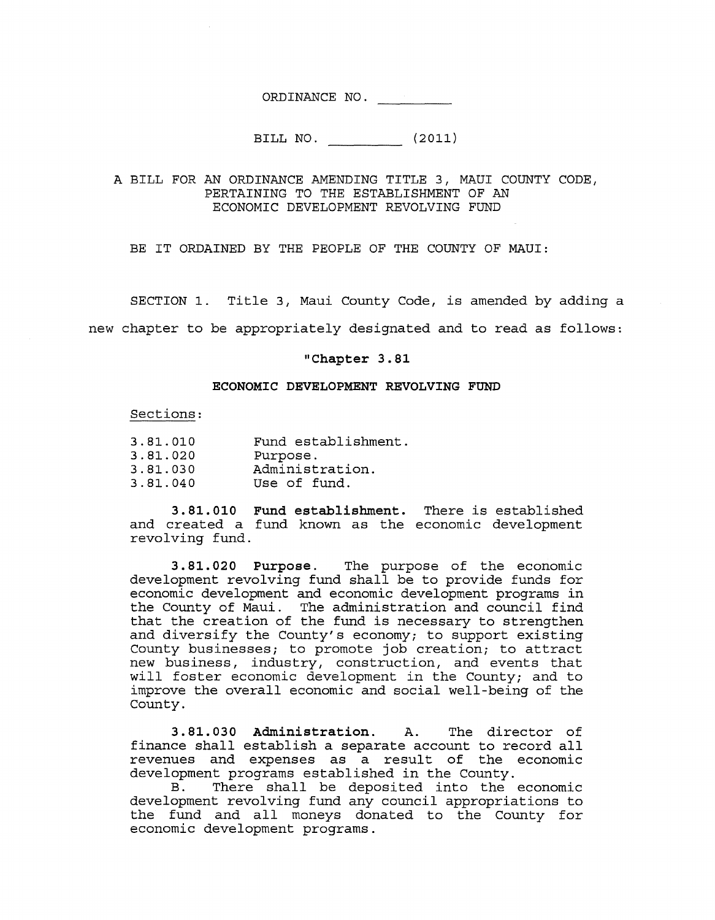ORDINANCE NO.

BILL NO. (2011)

A BILL FOR AN ORDINANCE AMENDING TITLE 3, MAUl COUNTY CODE, PERTAINING TO THE ESTABLISHMENT OF AN ECONOMIC DEVELOPMENT REVOLVING FUND

BE IT ORDAINED BY THE PEOPLE OF THE COUNTY OF MAUI:

SECTION 1. Title 3, Maui County Code, is amended by adding a

new chapter to be appropriately designated and to read as follows:

## **"Chapter 3.81**

#### **ECONOMIC DEVELOPMENT REVOLVING FUND**

#### Sections:

| 3.81.010 | Fund establishment. |
|----------|---------------------|
| 3.81.020 | Purpose.            |
| 3.81.030 | Administration.     |
| 3.81.040 | Use of fund.        |

**3.81.010 Fund establishment.** There is established and created a fund known as the economic development revolving fund.

**3.81.020 Purpose.** The purpose of the economic development revolving fund shall be to provide funds for economic development and economic development programs in the County of Maui. The administration and council find that the creation of the fund is necessary to strengthen and diversify the County's economy; to support existing County businesses; to promote job creation; to attract new business, industry, construction, and events that will foster economic development in the County; and to improve the overall economic and social well-being of the County.

**3.81. 030 Administration.** A. The director of finance shall establish a separate account to record all revenues and expenses as a result of the economic development programs established in the County.

B. There shall be deposited into the economic development revolving fund any council appropriations to the fund and all moneys donated to the County for economic development programs.